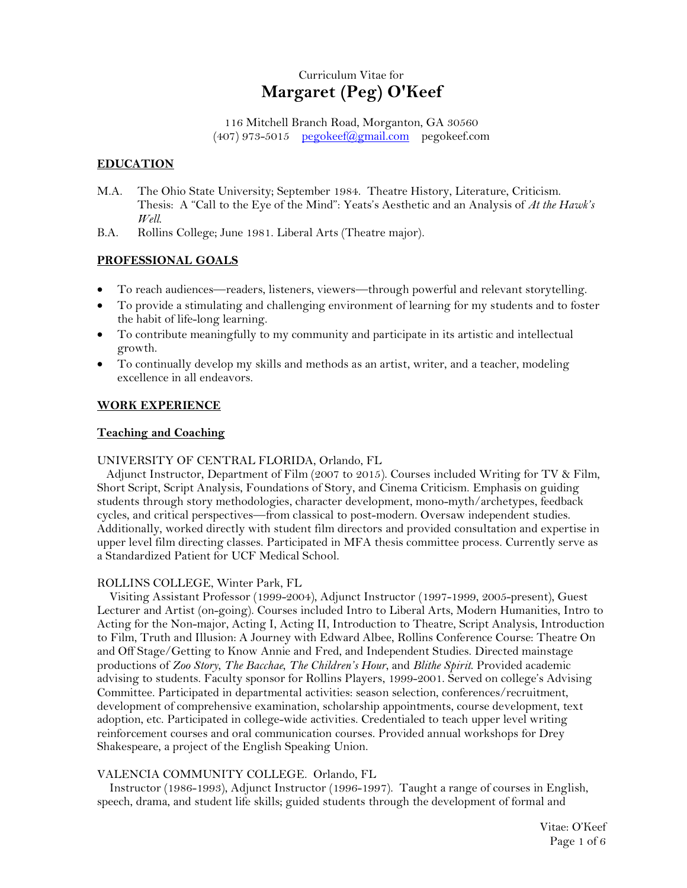# Curriculum Vitae for **Margaret (Peg) O'Keef**

116 Mitchell Branch Road, Morganton, GA 30560  $(407)$  973-5015 [pegokeef@gmail.com](mailto:pegokeef@gmail.com) pegokeef.com

# **EDUCATION**

- M.A. The Ohio State University; September 1984. Theatre History, Literature, Criticism. Thesis: A "Call to the Eye of the Mind": Yeats's Aesthetic and an Analysis of *At the Hawk's Well*.
- B.A. Rollins College; June 1981. Liberal Arts (Theatre major).

# **PROFESSIONAL GOALS**

- To reach audiences—readers, listeners, viewers—through powerful and relevant storytelling.
- To provide a stimulating and challenging environment of learning for my students and to foster the habit of life-long learning.
- To contribute meaningfully to my community and participate in its artistic and intellectual growth.
- To continually develop my skills and methods as an artist, writer, and a teacher, modeling excellence in all endeavors.

# **WORK EXPERIENCE**

# **Teaching and Coaching**

# UNIVERSITY OF CENTRAL FLORIDA, Orlando, FL

 Adjunct Instructor, Department of Film (2007 to 2015). Courses included Writing for TV & Film, Short Script, Script Analysis, Foundations of Story, and Cinema Criticism. Emphasis on guiding students through story methodologies, character development, mono-myth/archetypes, feedback cycles, and critical perspectives—from classical to post-modern. Oversaw independent studies. Additionally, worked directly with student film directors and provided consultation and expertise in upper level film directing classes. Participated in MFA thesis committee process. Currently serve as a Standardized Patient for UCF Medical School.

# ROLLINS COLLEGE, Winter Park, FL

 Visiting Assistant Professor (1999-2004), Adjunct Instructor (1997-1999, 2005-present), Guest Lecturer and Artist (on-going). Courses included Intro to Liberal Arts, Modern Humanities, Intro to Acting for the Non-major, Acting I, Acting II, Introduction to Theatre, Script Analysis, Introduction to Film, Truth and Illusion: A Journey with Edward Albee, Rollins Conference Course: Theatre On and Off Stage/Getting to Know Annie and Fred, and Independent Studies. Directed mainstage productions of *Zoo Story*, *The Bacchae*, *The Children's Hour*, and *Blithe Spirit*. Provided academic advising to students. Faculty sponsor for Rollins Players, 1999-2001. Served on college's Advising Committee. Participated in departmental activities: season selection, conferences/recruitment, development of comprehensive examination, scholarship appointments, course development, text adoption, etc. Participated in college-wide activities. Credentialed to teach upper level writing reinforcement courses and oral communication courses. Provided annual workshops for Drey Shakespeare, a project of the English Speaking Union.

# VALENCIA COMMUNITY COLLEGE. Orlando, FL

 Instructor (1986-1993), Adjunct Instructor (1996-1997). Taught a range of courses in English, speech, drama, and student life skills; guided students through the development of formal and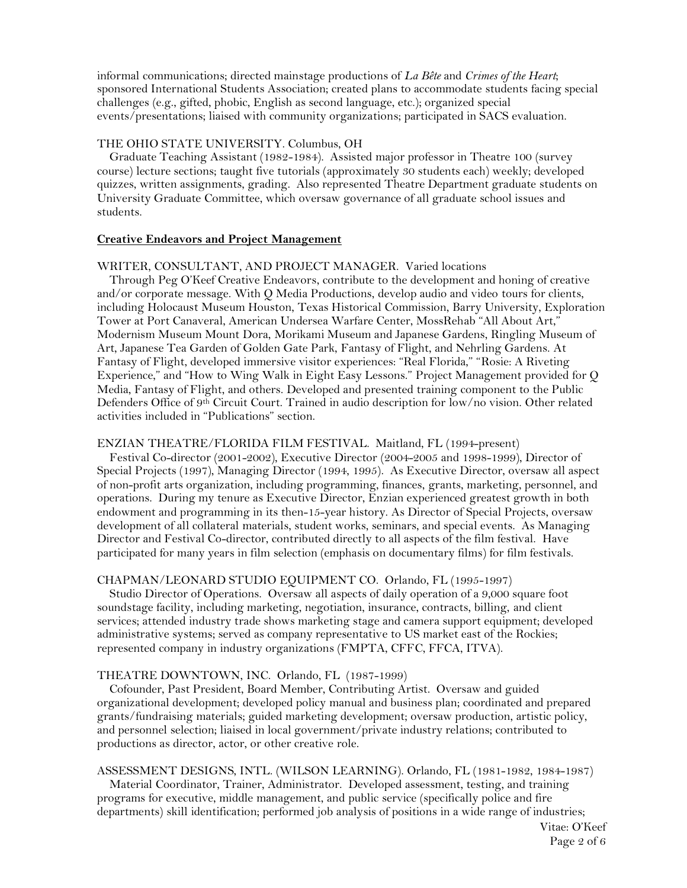informal communications; directed mainstage productions of *La Bête* and *Crimes of the Heart*; sponsored International Students Association; created plans to accommodate students facing special challenges (e.g., gifted, phobic, English as second language, etc.); organized special events/presentations; liaised with community organizations; participated in SACS evaluation.

#### THE OHIO STATE UNIVERSITY. Columbus, OH

 Graduate Teaching Assistant (1982-1984). Assisted major professor in Theatre 100 (survey course) lecture sections; taught five tutorials (approximately 30 students each) weekly; developed quizzes, written assignments, grading. Also represented Theatre Department graduate students on University Graduate Committee, which oversaw governance of all graduate school issues and students.

### **Creative Endeavors and Project Management**

#### WRITER, CONSULTANT, AND PROJECT MANAGER. Varied locations

 Through Peg O'Keef Creative Endeavors, contribute to the development and honing of creative and/or corporate message. With Q Media Productions, develop audio and video tours for clients, including Holocaust Museum Houston, Texas Historical Commission, Barry University, Exploration Tower at Port Canaveral, American Undersea Warfare Center, MossRehab "All About Art," Modernism Museum Mount Dora, Morikami Museum and Japanese Gardens, Ringling Museum of Art, Japanese Tea Garden of Golden Gate Park, Fantasy of Flight, and Nehrling Gardens. At Fantasy of Flight, developed immersive visitor experiences: "Real Florida," "Rosie: A Riveting Experience," and "How to Wing Walk in Eight Easy Lessons." Project Management provided for Q Media, Fantasy of Flight, and others. Developed and presented training component to the Public Defenders Office of 9<sup>th</sup> Circuit Court. Trained in audio description for low/no vision. Other related activities included in "Publications" section.

#### ENZIAN THEATRE/FLORIDA FILM FESTIVAL. Maitland, FL (1994-present)

 Festival Co-director (2001-2002), Executive Director (2004-2005 and 1998-1999), Director of Special Projects (1997), Managing Director (1994, 1995). As Executive Director, oversaw all aspect of non-profit arts organization, including programming, finances, grants, marketing, personnel, and operations. During my tenure as Executive Director, Enzian experienced greatest growth in both endowment and programming in its then-15-year history. As Director of Special Projects, oversaw development of all collateral materials, student works, seminars, and special events. As Managing Director and Festival Co-director, contributed directly to all aspects of the film festival. Have participated for many years in film selection (emphasis on documentary films) for film festivals.

#### CHAPMAN/LEONARD STUDIO EQUIPMENT CO. Orlando, FL (1995-1997)

 Studio Director of Operations. Oversaw all aspects of daily operation of a 9,000 square foot soundstage facility, including marketing, negotiation, insurance, contracts, billing, and client services; attended industry trade shows marketing stage and camera support equipment; developed administrative systems; served as company representative to US market east of the Rockies; represented company in industry organizations (FMPTA, CFFC, FFCA, ITVA).

### THEATRE DOWNTOWN, INC. Orlando, FL (1987-1999)

 Cofounder, Past President, Board Member, Contributing Artist. Oversaw and guided organizational development; developed policy manual and business plan; coordinated and prepared grants/fundraising materials; guided marketing development; oversaw production, artistic policy, and personnel selection; liaised in local government/private industry relations; contributed to productions as director, actor, or other creative role.

#### ASSESSMENT DESIGNS, INTL. (WILSON LEARNING). Orlando, FL (1981-1982, 1984-1987)

 Material Coordinator, Trainer, Administrator. Developed assessment, testing, and training programs for executive, middle management, and public service (specifically police and fire departments) skill identification; performed job analysis of positions in a wide range of industries;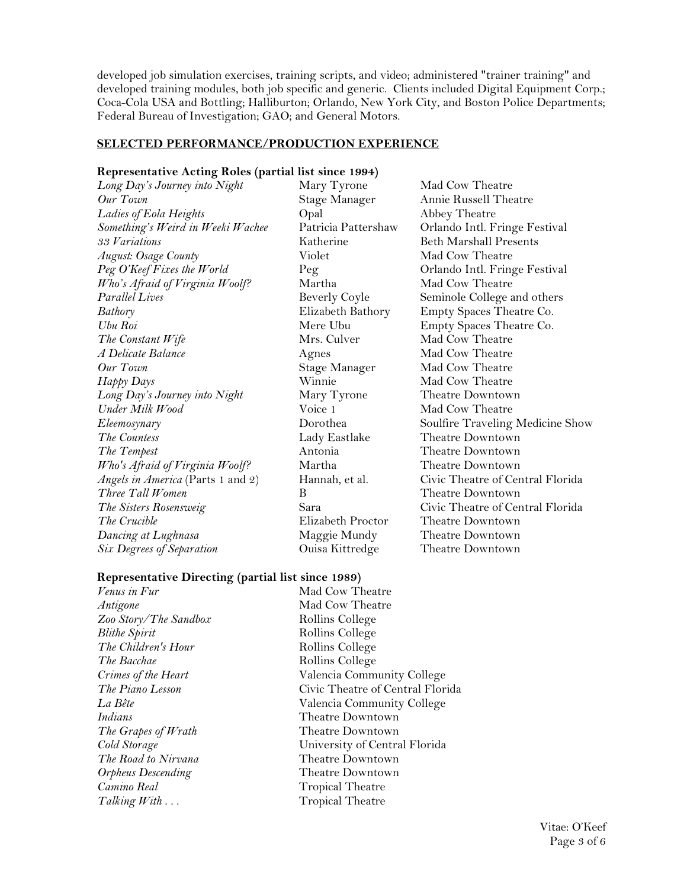developed job simulation exercises, training scripts, and video; administered "trainer training" and developed training modules, both job specific and generic. Clients included Digital Equipment Corp.; Coca-Cola USA and Bottling; Halliburton; Orlando, New York City, and Boston Police Departments; Federal Bureau of Investigation; GAO; and General Motors.

#### **SELECTED PERFORMANCE/PRODUCTION EXPERIENCE**

#### **Representative Acting Roles (partial list since 1994)**

*Long Day's Journey into Night* Mary Tyrone Mad Cow Theatre *Our Town* Stage Manager Annie Russell Theatre *Ladies of Eola Heights* Opal Abbey Theatre *Something's Weird in Weeki Wachee* Patricia Pattershaw Orlando Intl. Fringe Festival *33 Variations* Katherine Beth Marshall Presents *August: Osage County* **Violet** Mad Cow Theatre *Peg O'Keef Fixes the World* Peg **Peg C'A'** Orlando Intl. Fringe Festival *Who's Afraid of Virginia Woolf?* Martha Mad Cow Theatre *Parallel Lives* Beverly Coyle Seminole College and others *Bathory* Elizabeth Bathory Empty Spaces Theatre Co. *Ubu Roi* Mere Ubu Empty Spaces Theatre Co. *The Constant Wife* Mrs. Culver Mad Cow Theatre *A Delicate Balance* **Agnes** Agnes Mad Cow Theatre *Our Town* Stage Manager Mad Cow Theatre *Happy Days* Winnie Mad Cow Theatre *Long Day's Journey into Night* Mary Tyrone Theatre Downtown *Under Milk Wood* **Voice 1** Mad Cow Theatre *The Countess* Lady Eastlake Theatre Downtown *The Tempest* Antonia Theatre Downtown *Who's Afraid of Virginia Woolf?* Martha Theatre Downtown *Angels in America* (Parts 1 and 2) Hannah, et al. Civic Theatre of Central Florida *Three Tall Women* B Theatre Downtown *The Sisters Rosensweig* Sara Civic Theatre of Central Florida *The Crucible* **Elizabeth Proctor Theatre Downtown** *Dancing at Lughnasa* Maggie Mundy Theatre Downtown *Six Degrees of Separation* Ouisa Kittredge Theatre Downtown

*Eleemosynary* **Dorothea** Soulfire Traveling Medicine Show

# **Representative Directing (partial list since 1989)**

*Venus in Fur* Mad Cow Theatre *Antigone* Mad Cow Theatre *Zoo Story/The Sandbox* Rollins College *Blithe Spirit* Rollins College *The Children's Hour* Rollins College **The Bacchae** Rollins College *Indians* Theatre Downtown *The Grapes of Wrath* Theatre Downtown *The Road to Nirvana* Theatre Downtown *Orpheus Descending* Theatre Downtown *Camino Real* Tropical Theatre *Talking With* ... Tropical Theatre

*Crimes of the Heart* Valencia Community College *The Piano Lesson* Civic Theatre of Central Florida *La Bête* Valencia Community College *Cold Storage* University of Central Florida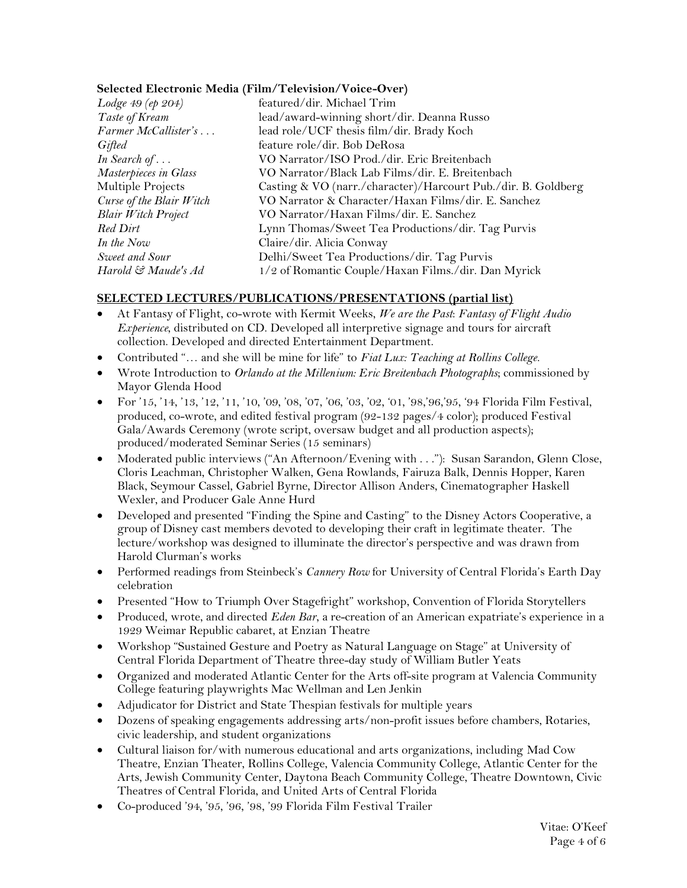# **Selected Electronic Media (Film/Television/Voice-Over)**

| featured/dir. Michael Trim                                    |
|---------------------------------------------------------------|
| lead/award-winning short/dir. Deanna Russo                    |
| lead role/UCF thesis film/dir. Brady Koch                     |
| feature role/dir. Bob DeRosa                                  |
| VO Narrator/ISO Prod./dir. Eric Breitenbach                   |
| VO Narrator/Black Lab Films/dir. E. Breitenbach               |
| Casting & VO (narr./character)/Harcourt Pub./dir. B. Goldberg |
| VO Narrator & Character/Haxan Films/dir. E. Sanchez           |
| VO Narrator/Haxan Films/dir. E. Sanchez                       |
| Lynn Thomas/Sweet Tea Productions/dir. Tag Purvis             |
| Claire/dir. Alicia Conway                                     |
| Delhi/Sweet Tea Productions/dir. Tag Purvis                   |
| 1/2 of Romantic Couple/Haxan Films./dir. Dan Myrick           |
|                                                               |

# **SELECTED LECTURES/PUBLICATIONS/PRESENTATIONS (partial list)**

- At Fantasy of Flight, co-wrote with Kermit Weeks, *We are the Past*: *Fantasy of Flight Audio Experience*, distributed on CD. Developed all interpretive signage and tours for aircraft collection. Developed and directed Entertainment Department.
- Contributed "… and she will be mine for life" to *Fiat Lux: Teaching at Rollins College*.
- Wrote Introduction to *Orlando at the Millenium: Eric Breitenbach Photographs*; commissioned by Mayor Glenda Hood
- For '15, '14, '13, '12, '11, '10, '09, '08, '07, '06, '03, '02, '01, '98,'96,'95, '94 Florida Film Festival, produced, co-wrote, and edited festival program (92-132 pages/4 color); produced Festival Gala/Awards Ceremony (wrote script, oversaw budget and all production aspects); produced/moderated Seminar Series (15 seminars)
- Moderated public interviews ("An Afternoon/Evening with . . ."): Susan Sarandon, Glenn Close, Cloris Leachman, Christopher Walken, Gena Rowlands, Fairuza Balk, Dennis Hopper, Karen Black, Seymour Cassel, Gabriel Byrne, Director Allison Anders, Cinematographer Haskell Wexler, and Producer Gale Anne Hurd
- Developed and presented "Finding the Spine and Casting" to the Disney Actors Cooperative, a group of Disney cast members devoted to developing their craft in legitimate theater. The lecture/workshop was designed to illuminate the director's perspective and was drawn from Harold Clurman's works
- Performed readings from Steinbeck's *Cannery Row* for University of Central Florida's Earth Day celebration
- Presented "How to Triumph Over Stagefright" workshop, Convention of Florida Storytellers
- Produced, wrote, and directed *Eden Bar*, a re-creation of an American expatriate's experience in a 1929 Weimar Republic cabaret, at Enzian Theatre
- Workshop "Sustained Gesture and Poetry as Natural Language on Stage" at University of Central Florida Department of Theatre three-day study of William Butler Yeats
- Organized and moderated Atlantic Center for the Arts off-site program at Valencia Community College featuring playwrights Mac Wellman and Len Jenkin
- Adjudicator for District and State Thespian festivals for multiple years
- Dozens of speaking engagements addressing arts/non-profit issues before chambers, Rotaries, civic leadership, and student organizations
- Cultural liaison for/with numerous educational and arts organizations, including Mad Cow Theatre, Enzian Theater, Rollins College, Valencia Community College, Atlantic Center for the Arts, Jewish Community Center, Daytona Beach Community College, Theatre Downtown, Civic Theatres of Central Florida, and United Arts of Central Florida
- Co-produced '94, '95, '96, '98, '99 Florida Film Festival Trailer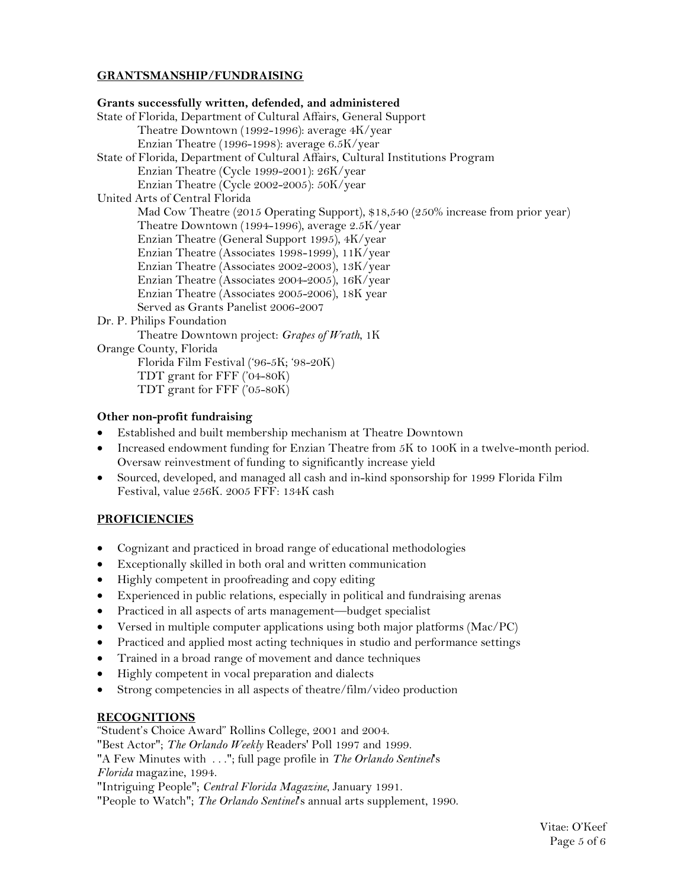# **GRANTSMANSHIP/FUNDRAISING**

# **Grants successfully written, defended, and administered** State of Florida, Department of Cultural Affairs, General Support Theatre Downtown (1992-1996): average 4K/year Enzian Theatre (1996-1998): average 6.5K/year State of Florida, Department of Cultural Affairs, Cultural Institutions Program Enzian Theatre (Cycle 1999-2001): 26K/year Enzian Theatre (Cycle 2002-2005): 50K/year United Arts of Central Florida Mad Cow Theatre (2015 Operating Support), \$18,540 (250% increase from prior year) Theatre Downtown (1994-1996), average 2.5K/year Enzian Theatre (General Support 1995), 4K/year Enzian Theatre (Associates 1998-1999), 11K/year Enzian Theatre (Associates 2002-2003), 13K/year Enzian Theatre (Associates 2004-2005), 16K/year Enzian Theatre (Associates 2005-2006), 18K year Served as Grants Panelist 2006-2007 Dr. P. Philips Foundation Theatre Downtown project: *Grapes of Wrath*, 1K Orange County, Florida Florida Film Festival ('96-5K; '98-20K) TDT grant for FFF ('04-80K) TDT grant for FFF ('05-80K)

# **Other non-profit fundraising**

- Established and built membership mechanism at Theatre Downtown
- Increased endowment funding for Enzian Theatre from 5K to 100K in a twelve-month period. Oversaw reinvestment of funding to significantly increase yield
- Sourced, developed, and managed all cash and in-kind sponsorship for 1999 Florida Film Festival, value 256K. 2005 FFF: 134K cash

# **PROFICIENCIES**

- Cognizant and practiced in broad range of educational methodologies
- Exceptionally skilled in both oral and written communication
- Highly competent in proofreading and copy editing
- Experienced in public relations, especially in political and fundraising arenas
- Practiced in all aspects of arts management—budget specialist
- Versed in multiple computer applications using both major platforms (Mac/PC)
- Practiced and applied most acting techniques in studio and performance settings
- Trained in a broad range of movement and dance techniques
- Highly competent in vocal preparation and dialects
- Strong competencies in all aspects of theatre/film/video production

# **RECOGNITIONS**

"Student's Choice Award" Rollins College, 2001 and 2004.

"Best Actor"; *The Orlando Weekly* Readers' Poll 1997 and 1999.

"A Few Minutes with . . ."; full page profile in *The Orlando Sentinel*'s *Florida* magazine, 1994.

"Intriguing People"; *Central Florida Magazine*, January 1991.

"People to Watch"; *The Orlando Sentinel*'s annual arts supplement, 1990.